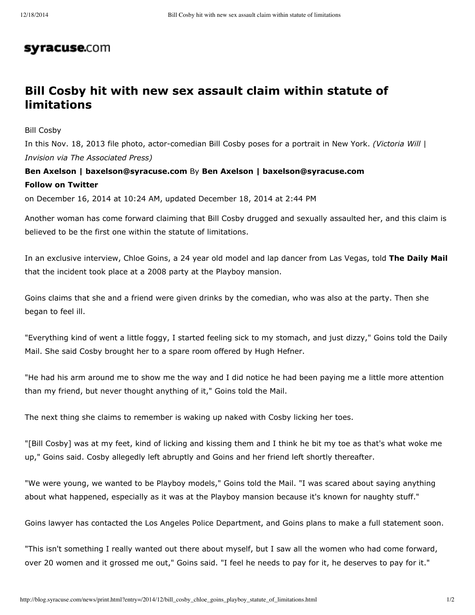## syracuse.com

## **Bill Cosby hit with new sex assault claim within statute of limitations**

Bill Cosby

In this Nov. 18, 2013 file photo, actor-comedian Bill Cosby poses for a portrait in New York. *(Victoria Will* | *Invision via The Associated Press)*

## **Ben Axelson | baxelson@syracuse.com** By **Ben Axelson | baxelson@syracuse.com Follow on Twitter**

on December 16, 2014 at 10:24 AM, updated December 18, 2014 at 2:44 PM

Another woman has come forward claiming that Bill Cosby drugged and sexually assaulted her, and this claim is believed to be the first one within the statute of limitations.

In an exclusive interview, Chloe Goins, a 24 year old model and lap dancer from Las Vegas, told **The Daily Mail** that the incident took place at a 2008 party at the Playboy mansion.

Goins claims that she and a friend were given drinks by the comedian, who was also at the party. Then she began to feel ill.

"Everything kind of went a little foggy, I started feeling sick to my stomach, and just dizzy," Goins told the Daily Mail. She said Cosby brought her to a spare room offered by Hugh Hefner.

"He had his arm around me to show me the way and I did notice he had been paying me a little more attention than my friend, but never thought anything of it," Goins told the Mail.

The next thing she claims to remember is waking up naked with Cosby licking her toes.

"[Bill Cosby] was at my feet, kind of licking and kissing them and I think he bit my toe as that's what woke me up," Goins said. Cosby allegedly left abruptly and Goins and her friend left shortly thereafter.

"We were young, we wanted to be Playboy models," Goins told the Mail. "I was scared about saying anything about what happened, especially as it was at the Playboy mansion because it's known for naughty stuff."

Goins lawyer has contacted the Los Angeles Police Department, and Goins plans to make a full statement soon.

"This isn't something I really wanted out there about myself, but I saw all the women who had come forward, over 20 women and it grossed me out," Goins said. "I feel he needs to pay for it, he deserves to pay for it."